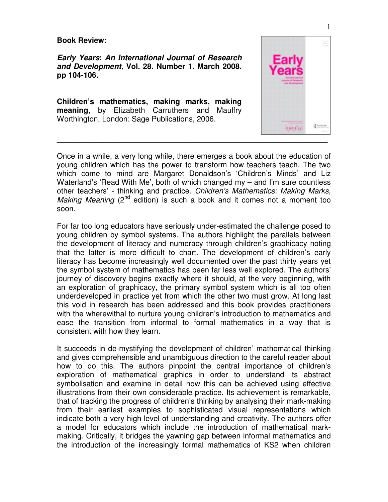**Book Review:** 

**Early Years: An International Journal of Research and Development**, **Vol. 28. Number 1. March 2008. pp 104-106.** 

**Children's mathematics, making marks, making meaning**, by Elizabeth Carruthers and Maulfry Worthington, London: Sage Publications, 2006.



Once in a while, a very long while, there emerges a book about the education of young children which has the power to transform how teachers teach. The two which come to mind are Margaret Donaldson's 'Children's Minds' and Liz Waterland's 'Read With Me', both of which changed my – and I'm sure countless other teachers' - thinking and practice. Children's Mathematics: Making Marks, *Making Meaning* ( $2^{nd}$  edition) is such a book and it comes not a moment too soon.

For far too long educators have seriously under-estimated the challenge posed to young children by symbol systems. The authors highlight the parallels between the development of literacy and numeracy through children's graphicacy noting that the latter is more difficult to chart. The development of children's early literacy has become increasingly well documented over the past thirty years yet the symbol system of mathematics has been far less well explored. The authors' journey of discovery begins exactly where it should, at the very beginning, with an exploration of graphicacy, the primary symbol system which is all too often underdeveloped in practice yet from which the other two must grow. At long last this void in research has been addressed and this book provides practitioners with the wherewithal to nurture young children's introduction to mathematics and ease the transition from informal to formal mathematics in a way that is consistent with how they learn.

It succeeds in de-mystifying the development of children' mathematical thinking and gives comprehensible and unambiguous direction to the careful reader about how to do this. The authors pinpoint the central importance of children's exploration of mathematical graphics in order to understand its abstract symbolisation and examine in detail how this can be achieved using effective illustrations from their own considerable practice. Its achievement is remarkable, that of tracking the progress of children's thinking by analysing their mark-making from their earliest examples to sophisticated visual representations which indicate both a very high level of understanding and creativity. The authors offer a model for educators which include the introduction of mathematical markmaking. Critically, it bridges the yawning gap between informal mathematics and the introduction of the increasingly formal mathematics of KS2 when children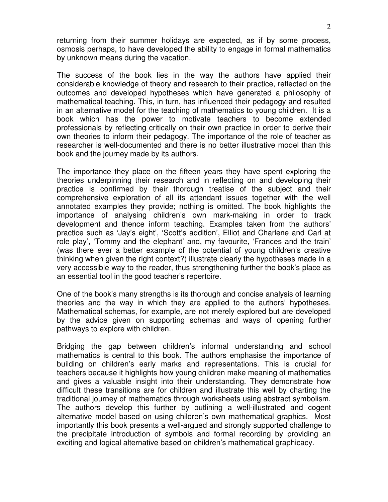returning from their summer holidays are expected, as if by some process, osmosis perhaps, to have developed the ability to engage in formal mathematics by unknown means during the vacation.

The success of the book lies in the way the authors have applied their considerable knowledge of theory and research to their practice, reflected on the outcomes and developed hypotheses which have generated a philosophy of mathematical teaching. This, in turn, has influenced their pedagogy and resulted in an alternative model for the teaching of mathematics to young children. It is a book which has the power to motivate teachers to become extended professionals by reflecting critically on their own practice in order to derive their own theories to inform their pedagogy. The importance of the role of teacher as researcher is well-documented and there is no better illustrative model than this book and the journey made by its authors.

The importance they place on the fifteen years they have spent exploring the theories underpinning their research and in reflecting on and developing their practice is confirmed by their thorough treatise of the subject and their comprehensive exploration of all its attendant issues together with the well annotated examples they provide; nothing is omitted. The book highlights the importance of analysing children's own mark-making in order to track development and thence inform teaching. Examples taken from the authors' practice such as 'Jay's eight', 'Scott's addition', Elliot and Charlene and Carl at role play', 'Tommy and the elephant' and, my favourite, 'Frances and the train' (was there ever a better example of the potential of young children's creative thinking when given the right context?) illustrate clearly the hypotheses made in a very accessible way to the reader, thus strengthening further the book's place as an essential tool in the good teacher's repertoire.

One of the book's many strengths is its thorough and concise analysis of learning theories and the way in which they are applied to the authors' hypotheses. Mathematical schemas, for example, are not merely explored but are developed by the advice given on supporting schemas and ways of opening further pathways to explore with children.

Bridging the gap between children's informal understanding and school mathematics is central to this book. The authors emphasise the importance of building on children's early marks and representations. This is crucial for teachers because it highlights how young children make meaning of mathematics and gives a valuable insight into their understanding. They demonstrate how difficult these transitions are for children and illustrate this well by charting the traditional journey of mathematics through worksheets using abstract symbolism. The authors develop this further by outlining a well-illustrated and cogent alternative model based on using children's own mathematical graphics. Most importantly this book presents a well-argued and strongly supported challenge to the precipitate introduction of symbols and formal recording by providing an exciting and logical alternative based on children's mathematical graphicacy.